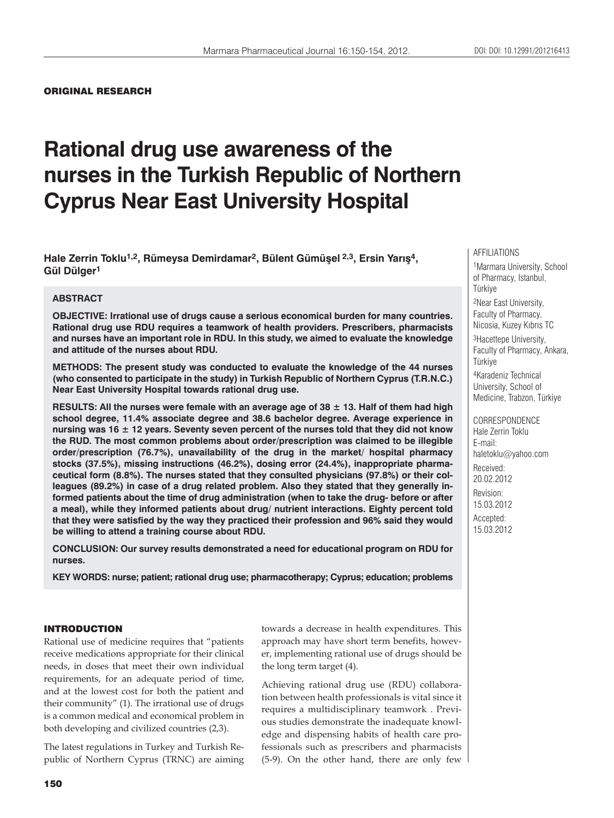### ORIGINAL RESEARCH

# **Rational drug use awareness of the nurses in the Turkish Republic of Northern Cyprus Near East University Hospital**

**Hale Zerrin Toklu1,2, Rümeysa Demirdamar2, Bülent Gümüşel 2,3, Ersin Yarış4, Gül Dülger1**

## **ABSTRACT**

**OBJECTIVE: Irrational use of drugs cause a serious economical burden for many countries. Rational drug use RDU requires a teamwork of health providers. Prescribers, pharmacists and nurses have an important role in RDU. In this study, we aimed to evaluate the knowledge and attitude of the nurses about RDU.** 

**METHODS: The present study was conducted to evaluate the knowledge of the 44 nurses (who consented to participate in the study) in Turkish Republic of Northern Cyprus (T.R.N.C.) Near East University Hospital towards rational drug use.** 

**RESULTS: All the nurses were female with an average age of 38 ± 13. Half of them had high school degree, 11.4% associate degree and 38.6 bachelor degree. Average experience in nursing was 16 ± 12 years. Seventy seven percent of the nurses told that they did not know the RUD. The most common problems about order/prescription was claimed to be illegible order/prescription (76.7%), unavailability of the drug in the market/ hospital pharmacy stocks (37.5%), missing instructions (46.2%), dosing error (24.4%), inappropriate pharmaceutical form (8.8%). The nurses stated that they consulted physicians (97.8%) or their colleagues (89.2%) in case of a drug related problem. Also they stated that they generally informed patients about the time of drug administration (when to take the drug- before or after a meal), while they informed patients about drug/ nutrient interactions. Eighty percent told that they were satisfied by the way they practiced their profession and 96% said they would be willing to attend a training course about RDU.** 

**CONCLUSION: Our survey results demonstrated a need for educational program on RDU for nurses.**

**KEY WORDS: nurse; patient; rational drug use; pharmacotherapy; Cyprus; education; problems**

## INTRODUCTION

Rational use of medicine requires that "patients receive medications appropriate for their clinical needs, in doses that meet their own individual requirements, for an adequate period of time, and at the lowest cost for both the patient and their community" (1). The irrational use of drugs is a common medical and economical problem in both developing and civilized countries (2,3).

The latest regulations in Turkey and Turkish Republic of Northern Cyprus (TRNC) are aiming towards a decrease in health expenditures. This approach may have short term benefits, however, implementing rational use of drugs should be the long term target (4).

Achieving rational drug use (RDU) collaboration between health professionals is vital since it requires a multidisciplinary teamwork . Previous studies demonstrate the inadequate knowledge and dispensing habits of health care professionals such as prescribers and pharmacists (5-9). On the other hand, there are only few

#### AFFILIATIONS

1Marmara University, School of Pharmacy, Istanbul, Türkiye

2Near East University, Faculty of Pharmacy, Nicosia, Kuzey Kıbrıs TC

3Hacettepe University, Faculty of Pharmacy, Ankara, Türkiye

4Karadeniz Technical University, School of Medicine, Trabzon, Türkiye

CORRESPONDENCE Hale Zerrin Toklu E-mail: haletoklu@yahoo.com Received: 20.02.2012 Revision: 15.03.2012 Accepted: 15.03.2012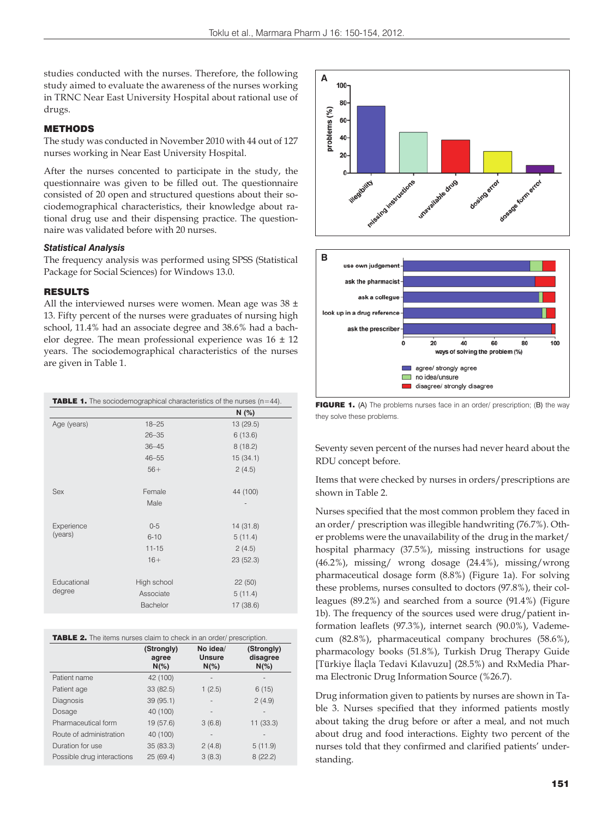studies conducted with the nurses. Therefore, the following study aimed to evaluate the awareness of the nurses working in TRNC Near East University Hospital about rational use of drugs.

## METHODS

The study was conducted in November 2010 with 44 out of 127 nurses working in Near East University Hospital.

After the nurses concented to participate in the study, the questionnaire was given to be filled out. The questionnaire consisted of 20 open and structured questions about their sociodemographical characteristics, their knowledge about rational drug use and their dispensing practice. The questionnaire was validated before with 20 nurses.

#### *Statistical Analysis*

The frequency analysis was performed using SPSS (Statistical Package for Social Sciences) for Windows 13.0.

#### RESULTS

All the interviewed nurses were women. Mean age was  $38 \pm$ 13. Fifty percent of the nurses were graduates of nursing high school, 11.4% had an associate degree and 38.6% had a bachelor degree. The mean professional experience was  $16 \pm 12$ years. The sociodemographical characteristics of the nurses are given in Table 1.

|             | <b>TABLE 1.</b> The sociodemographical characteristics of the nurses $(n=44)$ . |           |  |
|-------------|---------------------------------------------------------------------------------|-----------|--|
|             |                                                                                 | N(%)      |  |
| Age (years) | $18 - 25$                                                                       | 13 (29.5) |  |
|             | $26 - 35$                                                                       | 6(13.6)   |  |
|             | $36 - 45$                                                                       | 8(18.2)   |  |
|             | $46 - 55$                                                                       | 15(34.1)  |  |
|             | $56+$                                                                           | 2(4.5)    |  |
| <b>Sex</b>  | Female                                                                          | 44 (100)  |  |
|             | Male                                                                            |           |  |
| Experience  | $0 - 5$                                                                         | 14 (31.8) |  |
| (years)     | $6 - 10$                                                                        | 5(11.4)   |  |
|             | $11 - 15$                                                                       | 2(4.5)    |  |
|             | $16+$                                                                           | 23 (52.3) |  |
| Educational | High school                                                                     | 22(50)    |  |
| degree      | Associate                                                                       | 5(11.4)   |  |
|             | Bachelor                                                                        | 17(38.6)  |  |

| <b>TABLE 2.</b> The items nurses claim to check in an order/ prescription. |  |
|----------------------------------------------------------------------------|--|
|----------------------------------------------------------------------------|--|

|                            | (Strongly)<br>agree<br>$N(\%)$ | No idea/<br><b>Unsure</b><br>$N(\%)$ | (Strongly)<br>disagree<br>$N(\%)$ |
|----------------------------|--------------------------------|--------------------------------------|-----------------------------------|
| Patient name               | 42 (100)                       | $\overline{\phantom{a}}$             |                                   |
| Patient age                | 33 (82.5)                      | 1(2.5)                               | 6(15)                             |
| Diagnosis                  | 39 (95.1)                      | $\overline{a}$                       | 2(4.9)                            |
| Dosage                     | 40 (100)                       | ۰                                    |                                   |
| Pharmaceutical form        | 19 (57.6)                      | 3(6.8)                               | 11(33.3)                          |
| Route of administration    | 40 (100)                       |                                      |                                   |
| Duration for use           | 35 (83.3)                      | 2(4.8)                               | 5(11.9)                           |
| Possible drug interactions | 25 (69.4)                      | 3(8.3)                               | 8(22.2)                           |



FIGURE 1. (A) The problems nurses face in an order/ prescription; (B) the way they solve these problems.

Seventy seven percent of the nurses had never heard about the RDU concept before.

Items that were checked by nurses in orders/prescriptions are shown in Table 2.

Nurses specified that the most common problem they faced in an order/ prescription was illegible handwriting (76.7%). Other problems were the unavailability of the drug in the market/ hospital pharmacy (37.5%), missing instructions for usage (46.2%), missing/ wrong dosage (24.4%), missing/wrong pharmaceutical dosage form (8.8%) (Figure 1a). For solving these problems, nurses consulted to doctors (97.8%), their colleagues (89.2%) and searched from a source (91.4%) (Figure 1b). The frequency of the sources used were drug/patient information leaflets (97.3%), internet search (90.0%), Vademecum (82.8%), pharmaceutical company brochures (58.6%), pharmacology books (51.8%), Turkish Drug Therapy Guide [Türkiye İlaçla Tedavi Kılavuzu] (28.5%) and RxMedia Pharma Electronic Drug Information Source (%26.7).

Drug information given to patients by nurses are shown in Table 3. Nurses specified that they informed patients mostly about taking the drug before or after a meal, and not much about drug and food interactions. Eighty two percent of the nurses told that they confirmed and clarified patients' understanding.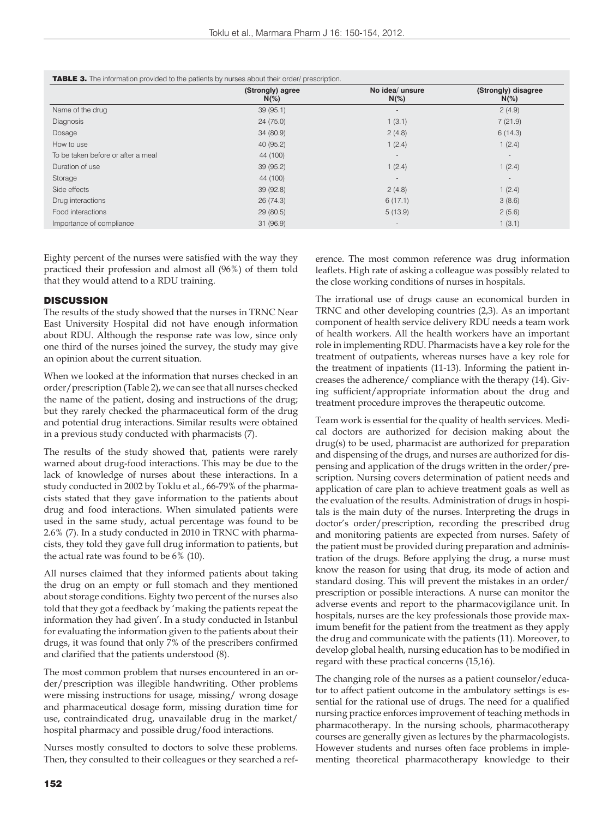| <b>TABLE 3.</b> The information provided to the patients by nurses about their order/ prescription. |  |  |  |  |
|-----------------------------------------------------------------------------------------------------|--|--|--|--|
|-----------------------------------------------------------------------------------------------------|--|--|--|--|

|                                    | (Strongly) agree<br>$N(\%)$ | No idea/ unsure<br>$N(\%)$ | (Strongly) disagree<br>$N(\%)$ |
|------------------------------------|-----------------------------|----------------------------|--------------------------------|
| Name of the drug                   | 39(95.1)                    | $\blacksquare$             | 2(4.9)                         |
| Diagnosis                          | 24(75.0)                    | 1(3.1)                     | 7(21.9)                        |
| Dosage                             | 34(80.9)                    | 2(4.8)                     | 6(14.3)                        |
| How to use                         | 40(95.2)                    | 1(2.4)                     | 1(2.4)                         |
| To be taken before or after a meal | 44 (100)                    | $\overline{\phantom{a}}$   | $\sim$                         |
| Duration of use                    | 39(95.2)                    | 1(2.4)                     | 1(2.4)                         |
| Storage                            | 44 (100)                    | $\blacksquare$             | $\sim$                         |
| Side effects                       | 39(92.8)                    | 2(4.8)                     | 1(2.4)                         |
| Drug interactions                  | 26(74.3)                    | 6(17.1)                    | 3(8.6)                         |
| Food interactions                  | 29(80.5)                    | 5(13.9)                    | 2(5.6)                         |
| Importance of compliance           | 31(96.9)                    | $\overline{\phantom{a}}$   | 1(3.1)                         |

Eighty percent of the nurses were satisfied with the way they practiced their profession and almost all (96%) of them told that they would attend to a RDU training.

#### **DISCUSSION**

The results of the study showed that the nurses in TRNC Near East University Hospital did not have enough information about RDU. Although the response rate was low, since only one third of the nurses joined the survey, the study may give an opinion about the current situation.

When we looked at the information that nurses checked in an order/prescription (Table 2), we can see that all nurses checked the name of the patient, dosing and instructions of the drug; but they rarely checked the pharmaceutical form of the drug and potential drug interactions. Similar results were obtained in a previous study conducted with pharmacists (7).

The results of the study showed that, patients were rarely warned about drug-food interactions. This may be due to the lack of knowledge of nurses about these interactions. In a study conducted in 2002 by Toklu et al., 66-79% of the pharmacists stated that they gave information to the patients about drug and food interactions. When simulated patients were used in the same study, actual percentage was found to be 2.6% (7). In a study conducted in 2010 in TRNC with pharmacists, they told they gave full drug information to patients, but the actual rate was found to be 6% (10).

All nurses claimed that they informed patients about taking the drug on an empty or full stomach and they mentioned about storage conditions. Eighty two percent of the nurses also told that they got a feedback by 'making the patients repeat the information they had given'. In a study conducted in Istanbul for evaluating the information given to the patients about their drugs, it was found that only 7% of the prescribers confirmed and clarified that the patients understood (8).

The most common problem that nurses encountered in an order/prescription was illegible handwriting. Other problems were missing instructions for usage, missing/ wrong dosage and pharmaceutical dosage form, missing duration time for use, contraindicated drug, unavailable drug in the market/ hospital pharmacy and possible drug/food interactions.

Nurses mostly consulted to doctors to solve these problems. Then, they consulted to their colleagues or they searched a reference. The most common reference was drug information leaflets. High rate of asking a colleague was possibly related to the close working conditions of nurses in hospitals.

The irrational use of drugs cause an economical burden in TRNC and other developing countries (2,3). As an important component of health service delivery RDU needs a team work of health workers. All the health workers have an important role in implementing RDU. Pharmacists have a key role for the treatment of outpatients, whereas nurses have a key role for the treatment of inpatients (11-13). Informing the patient increases the adherence/ compliance with the therapy (14). Giving sufficient/appropriate information about the drug and treatment procedure improves the therapeutic outcome.

Team work is essential for the quality of health services. Medical doctors are authorized for decision making about the drug(s) to be used, pharmacist are authorized for preparation and dispensing of the drugs, and nurses are authorized for dispensing and application of the drugs written in the order/prescription. Nursing covers determination of patient needs and application of care plan to achieve treatment goals as well as the evaluation of the results. Administration of drugs in hospitals is the main duty of the nurses. Interpreting the drugs in doctor's order/prescription, recording the prescribed drug and monitoring patients are expected from nurses. Safety of the patient must be provided during preparation and administration of the drugs. Before applying the drug, a nurse must know the reason for using that drug, its mode of action and standard dosing. This will prevent the mistakes in an order/ prescription or possible interactions. A nurse can monitor the adverse events and report to the pharmacovigilance unit. In hospitals, nurses are the key professionals those provide maximum benefit for the patient from the treatment as they apply the drug and communicate with the patients (11). Moreover, to develop global health, nursing education has to be modified in regard with these practical concerns (15,16).

The changing role of the nurses as a patient counselor/educator to affect patient outcome in the ambulatory settings is essential for the rational use of drugs. The need for a qualified nursing practice enforces improvement of teaching methods in pharmacotherapy. In the nursing schools, pharmacotherapy courses are generally given as lectures by the pharmacologists. However students and nurses often face problems in implementing theoretical pharmacotherapy knowledge to their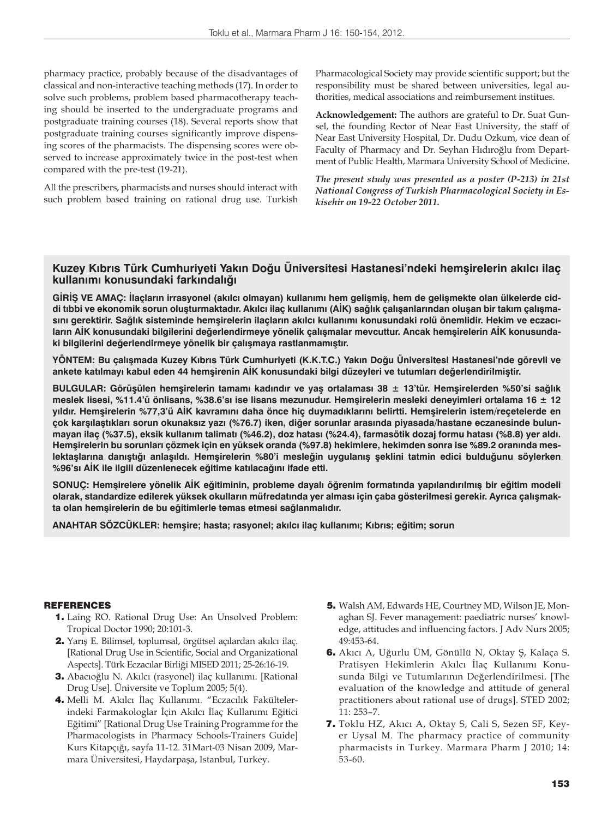pharmacy practice, probably because of the disadvantages of classical and non-interactive teaching methods (17). In order to solve such problems, problem based pharmacotherapy teaching should be inserted to the undergraduate programs and postgraduate training courses (18). Several reports show that postgraduate training courses significantly improve dispensing scores of the pharmacists. The dispensing scores were observed to increase approximately twice in the post-test when compared with the pre-test (19-21).

All the prescribers, pharmacists and nurses should interact with such problem based training on rational drug use. Turkish Pharmacological Society may provide scientific support; but the responsibility must be shared between universities, legal authorities, medical associations and reimbursement institues.

**Acknowledgement:** The authors are grateful to Dr. Suat Gunsel, the founding Rector of Near East University, the staff of Near East University Hospital, Dr. Dudu Ozkum, vice dean of Faculty of Pharmacy and Dr. Seyhan Hıdıroğlu from Department of Public Health, Marmara University School of Medicine.

*The present study was presented as a poster (P-213) in 21st National Congress of Turkish Pharmacological Society in Eskisehir on 19-22 October 2011.* 

## **Kuzey Kıbrıs Türk Cumhuriyeti Yakın Doğu Üniversitesi Hastanesi'ndeki hemşirelerin akılcı ilaç kullanımı konusundaki farkındalığı**

**GİRİŞ VE AMAÇ: İlaçların irrasyonel (akılcı olmayan) kullanımı hem gelişmiş, hem de gelişmekte olan ülkelerde ciddi tıbbi ve ekonomik sorun oluşturmaktadır. Akılcı ilaç kullanımı (AİK) sağlık çalışanlarından oluşan bir takım çalışmasını gerektirir. Sağlık sisteminde hemşirelerin ilaçların akılcı kullanımı konusundaki rolü önemlidir. Hekim ve eczacıların AİK konusundaki bilgilerini değerlendirmeye yönelik çalışmalar mevcuttur. Ancak hemşirelerin AİK konusundaki bilgilerini değerlendirmeye yönelik bir çalışmaya rastlanmamıştır.** 

**YÖNTEM: Bu çalışmada Kuzey Kıbrıs Türk Cumhuriyeti (K.K.T.C.) Yakın Doğu Üniversitesi Hastanesi'nde görevli ve ankete katılmayı kabul eden 44 hemşirenin AİK konusundaki bilgi düzeyleri ve tutumları değerlendirilmiştir.** 

**BULGULAR: Görüşülen hemşirelerin tamamı kadındır ve yaş ortalaması 38 ± 13'tür. Hemşirelerden %50'si sağlık meslek lisesi, %11.4'ü önlisans, %38.6'sı ise lisans mezunudur. Hemşirelerin mesleki deneyimleri ortalama 16 ± 12 yıldır. Hemşirelerin %77,3'ü AİK kavramını daha önce hiç duymadıklarını belirtti. Hemşirelerin istem/reçetelerde en çok karşılaştıkları sorun okunaksız yazı (%76.7) iken, diğer sorunlar arasında piyasada/hastane eczanesinde bulunmayan ilaç (%37.5), eksik kullanım talimatı (%46.2), doz hatası (%24.4), farmasötik dozaj formu hatası (%8.8) yer aldı. Hemşirelerin bu sorunları çözmek için en yüksek oranda (%97.8) hekimlere, hekimden sonra ise %89.2 oranında mes**lektaşlarına danıştığı anlaşıldı. Hemşirelerin %80'i mesleğin uygulanış şeklini tatmin edici bulduğunu söylerken **%96'sı AİK ile ilgili düzenlenecek eğitime katılacağını ifade etti.**

**SONUÇ: Hemşirelere yönelik AİK eğitiminin, probleme dayalı öğrenim formatında yapılandırılmış bir eğitim modeli olarak, standardize edilerek yüksek okulların müfredatında yer alması için çaba gösterilmesi gerekir. Ayrıca çalışmakta olan hemşirelerin de bu eğitimlerle temas etmesi sağlanmalıdır.**

**ANAHTAR SÖZCÜKLER: hemşire; hasta; rasyonel; akılcı ilaç kullanımı; Kıbrıs; eğitim; sorun**

#### **REFERENCES**

- 1. Laing RO. Rational Drug Use: An Unsolved Problem: Tropical Doctor 1990; 20:101-3.
- 2. Yarış E. Bilimsel, toplumsal, örgütsel açılardan akılcı ilaç. [Rational Drug Use in Scientific, Social and Organizational Aspects]. Türk Eczacılar Birliği MISED 2011; 25-26:16-19.
- 3. Abacıoğlu N. Akılcı (rasyonel) ilaç kullanımı. [Rational Drug Use]. Üniversite ve Toplum 2005; 5(4).
- 4. Melli M. Akılcı İlaç Kullanımı. "Eczacılık Fakültelerindeki Farmakologlar İçin Akılcı İlaç Kullanımı Eğitici Eğitimi" [Rational Drug Use Training Programme for the Pharmacologists in Pharmacy Schools-Trainers Guide] Kurs Kitapçığı, sayfa 11-12. 31Mart-03 Nisan 2009, Marmara Üniversitesi, Haydarpaşa, Istanbul, Turkey.
- 5. Walsh AM, Edwards HE, Courtney MD, Wilson JE, Monaghan SJ. Fever management: paediatric nurses' knowledge, attitudes and influencing factors. J Adv Nurs 2005; 49:453-64.
- 6. Akıcı A, Uğurlu ÜM, Gönüllü N, Oktay Ş, Kalaça S. Pratisyen Hekimlerin Akılcı İlaç Kullanımı Konusunda Bilgi ve Tutumlarının Değerlendirilmesi. [The evaluation of the knowledge and attitude of general practitioners about rational use of drugs]. STED 2002; 11: 253–7.
- 7. Toklu HZ, Akıcı A, Oktay S, Cali S, Sezen SF, Keyer Uysal M. The pharmacy practice of community pharmacists in Turkey. Marmara Pharm J 2010; 14: 53-60.